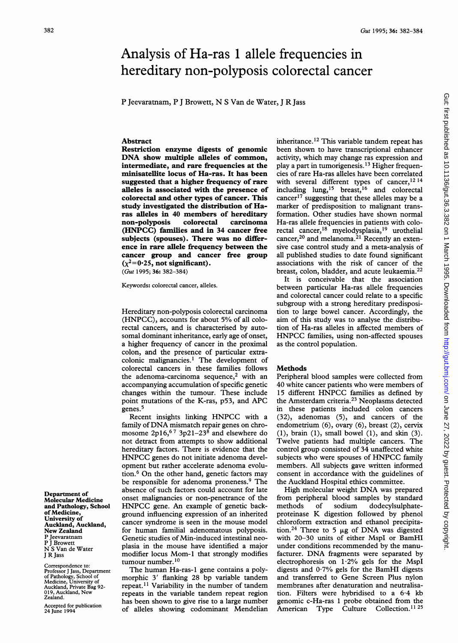# Analysis of Ha-ras <sup>1</sup> allele frequencies in hereditary non-polyposis colorectal cancer

P Jeevaramam, P <sup>J</sup> Browett, N <sup>S</sup> Van de Water, <sup>J</sup> R Jass

## Abstract

Restriction enzyme digests of genomic DNA show multiple alleles of common, intermediate, and rare frequencies at the minisatellite locus of Ha-ras. It has been suggested that a higher frequency of rare alleles is associated with the presence of colorectal and other types of cancer. This study investigated the distribution of Haras alleles in 40 members of hereditary non-polyposis colorectal carcinoma (HNPCC) families and in 34 cancer free subjects (spouses). There was no difference in rare allele frequency between the cancer group and cancer free group  $(\chi^2=0.25$ , not significant).

(Gut 1995; 36: 382-384)

Keywords: colorectal cancer, alleles.

Hereditary non-polyposis colorectal carcinoma (HNPCC), accounts for about 5% of all colorectal cancers, and is characterised by autosomal dominant inheritance, early age of onset, a higher frequency of cancer in the proximal colon, and the presence of particular extracolonic malignancies.<sup>1</sup> The development of colorectal cancers in these families follows the adenoma-carcinoma sequence,<sup>2</sup> with an accompanying accumulation of specific genetic changes within the tumour. These include point mutations of the K-ras, p53, and APC genes.5

Recent insights linking HNPCC with <sup>a</sup> family of DNA mismatch repair genes on chromosome 2p16,<sup>67</sup> 3p21-23<sup>8</sup> and elsewhere do not detract from attempts to show additional hereditary factors. There is evidence that the HNPCC genes do not initiate adenoma development but rather accelerate adenoma evolution.6 On the other hand, genetic factors may be responsible for adenoma proneness.9 The absence of such factors could account for late onset malignancies or non-penetrance of the HNPCC gene. An example of genetic background influencing expression of an inherited cancer syndrome is seen in the mouse model for human familial adenomatous polyposis. Genetic studies of Min-induced intestinal neoplasia in the mouse have identified a major modifier locus Mom-i that strongly modifies tumour number.<sup>10</sup>

The human Ha-ras-1 gene contains <sup>a</sup> polymorphic <sup>3</sup>' flanking 28 bp variable tandem repeat.<sup>11</sup> Variability in the number of tandem repeats in the variable tandem repeat region has been shown to give rise to a large number of alleles showing codominant Mendelian

inheritance.<sup>12</sup> This variable tandem repeat has been shown to have transcriptional enhancer activity, which may change ras expression and play a part in tumorigenesis. <sup>13</sup> Higher frequencies of rare Ha-ras alleles have been correlated with several different types of cancer,  $12 \tcdot 14$ including lung,<sup>15</sup> breast,<sup>16</sup> and colorectal cancer17 suggesting that these alleles may be a marker of predisposition to malignant transformation. Other studies have shown normal Ha-ras allele frequencies in patients with colorectal cancer,18 myelodysplasia,19 urothelial cancer,<sup>20</sup> and melanoma.<sup>21</sup> Recently an extensive case control study and a meta-analysis of all published studies to date found significant associations with the risk of cancer of the breast, colon, bladder, and acute leukaemia.<sup>22</sup>

It is conceivable that the association between particular Ha-ras allele frequencies and colorectal cancer could relate to a specific subgroup with a strong hereditary predisposition to large bowel cancer. Accordingly, the aim of this study was to analyse the distribution of Ha-ras alleles in affected members of HNPCC families, using non-affected spouses as the control population.

### Methods

Peripheral blood samples were collected from 40 white cancer patients who were members of <sup>15</sup> different HNPCC families as defined by the Amsterdam criteria.23 Neoplasms detected in these patients included colon cancers (32), adenomas (5), and cancers of the endometrium (6), ovary (6), breast (2), cervix (1), brain (1), small bowel (1), and skin (3). Twelve patients had multiple cancers. The control group consisted of 34 unaffected white subjects who were spouses of HNPCC family members. All subjects gave written informed consent in accordance with the guidelines of the Auckland Hospital ethics committee.

High molecular weight DNA was prepared from peripheral blood samples by standard methods of sodium dodecylsulphateproteinase K digestion followed by phenol chloroform extraction and ethanol precipitation.<sup>24</sup> Three to 5  $\mu$ g of DNA was digested with 20-30 units of either MspI or BamHI under conditions recommended by the manufacturer. DNA fragments were separated by electrophoresis on  $1.2\%$  gels for the MspI digests and  $0.7\%$  gels for the BamHI digests and transferred to Gene Screen Plus nylon membranes after denaturation and neutralisation. Filters were hybridised to a 6.4 kb genomic c-Ha-ras <sup>1</sup> probe obtained from the American Type Culture Collection.<sup>11 25</sup>

Department of Molecular Medicine and Pathology, School of Medicine, University of Auckland, Auckland, New Zealand P Jeevaratnam P J Browett S Van de Water <sup>J</sup> R Jass

Correspondence to: Professor J Jass, Department of Pathology, School of Medicine, University of Auckland, Private Bag 92- 019, Auckland, New Zealand.

Accepted for publication 24 June 1994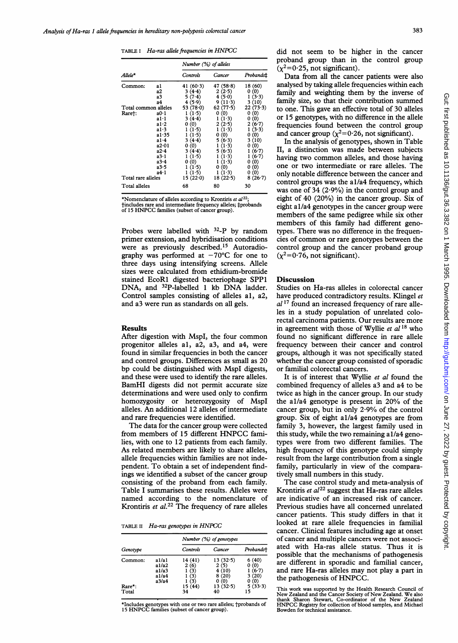|                                     |                                                                                                | Number (%) of alleles                                                                                                                     |                                                                                                                                    |                                                                                                                                        |
|-------------------------------------|------------------------------------------------------------------------------------------------|-------------------------------------------------------------------------------------------------------------------------------------------|------------------------------------------------------------------------------------------------------------------------------------|----------------------------------------------------------------------------------------------------------------------------------------|
| $Allele*$                           |                                                                                                | Controls                                                                                                                                  | Cancer                                                                                                                             | Probands‡                                                                                                                              |
| Common:                             | a l<br>а2<br>а3<br>а4                                                                          | 41 $(60.3)$<br>3(4.4)<br>5(7.4)<br>4(5.9)                                                                                                 | 47 $(58.8)$<br>2(2.5)<br>4(5.0)<br>9(11.3)                                                                                         | 18 (60)<br>0(0)<br>1(3.3)<br>3 (10)                                                                                                    |
| Total common alleles<br>Rare†:      | a0·1<br>al∙l<br>a1.2<br>a1.3<br>a1.35<br>a1.4<br>a2-01<br>a2.4<br>a3.1<br>a3.4<br>a3-5<br>a4.1 | 53 $(78.0)$<br>1(1.5)<br>$3(4-4)$<br>0 (0)<br>1(1.5)<br>1(1.5)<br>3(4.4)<br>(0)<br>0<br>3(4.4)<br>1(1.5)<br>0 (0)<br>(1.5)<br>1<br>1(1.5) | 62(77.5)<br>0 (0)<br>1(1.3)<br>2(2.5)<br>$1(1-3)$<br>0 (0)<br>5(6.3)<br>1(1.3)<br>5(6.3)<br>(1.3)<br>ı<br>1(1.3)<br>0(0)<br>1(1.3) | 22(73.3)<br>(0)<br>0<br>0 (0)<br>$2(6-7)$<br>$1(3-3)$<br>0 (0)<br>3(10)<br>(0)<br>0<br>(6.7)<br>(6.7)<br>(0)<br>0<br>(0)<br>0<br>0 (0) |
| Total rare alleles<br>Total alleles |                                                                                                | 15(22.0)<br>68                                                                                                                            | 18(22.5)<br>80                                                                                                                     | $8(26-7)$<br>30                                                                                                                        |

\*Nomenclature of alleles according to Krontiris et  $al^{22}$ ; tincludes rare and intermediate frequency alleles; fprobands of <sup>15</sup> HNPCC families (subset of cancer group).

Probes were labelled with 32-P by random primer extension, and hybridisation conditions were as previously described.15 Autoradiography was performed at  $-70^{\circ}$ C for one to three days using intensifying screens. Allele sizes were calculated from ethidium-bromide stained EcoRl digested bacteriophage SPP1 DNA, and <sup>32</sup>P-labelled 1 kb DNA ladder. Control samples consisting of alleles al, a2, and a3 were run as standards on all gels.

#### Results

After digestion with MspI, the four common progenitor alleles al, a2, a3, and a4, were found in similar frequencies in both the cancer and control groups. Differences as small as 20 bp could be distinguished with MspI digests, and these were used to identify the rare alleles. BamHI digests did not permit accurate size determinations and were used only to confirm homozygosity or heterozygosity of MspI alleles. An additional 12 alleles of intermediate and rare frequencies were identified.

The data for the cancer group were collected from members of <sup>15</sup> different HNPCC families, with one to 12 patients from each family. As related members are likely to share alleles, allele frequencies within families are not independent. To obtain <sup>a</sup> set of independent findings we identified a subset of the cancer group consisting of the proband from each family. Table <sup>I</sup> summarises these results. Alleles were named according to the nomenclature of Krontiris et  $al$ .<sup>22</sup> The frequency of rare alleles

TABLE II Ha-ras genotypes in HNPCC

|                                  |                                       | Number (%) of genotypes       |                                    |                                 |
|----------------------------------|---------------------------------------|-------------------------------|------------------------------------|---------------------------------|
| Genotype                         |                                       | Controls                      | Cancer                             | Probandst                       |
| Common:                          | a 1/a 1<br>a 1/a 2<br>a1/a3<br>a 1/a4 | 14 (41)<br>2(6)<br>(3)<br>(3) | 13(32.5)<br>2(5)<br>4(10)<br>8(20) | 6(40)<br>0(0)<br>(6.7)<br>3(20) |
| $\text{Rare}^{\star}$ :<br>Total | a3/a4                                 | (3)<br>15 (44)<br>34          | (0)<br>13(32.5)<br>40              | (0)<br>0<br>5(33.3)<br>15       |

\*Includes genotypes with one or two rare alleles; tprobands of <sup>15</sup> HNPCC families (subset of cancer group).

did not seem to be higher in the cancer proband group than in the control group  $(\chi^2=0.25)$ , not significant).

Data from all the cancer patients were also analysed by taking allele frequencies within each family and weighting them by the inverse of family size, so that their contribution summed to one. This gave an effective total of 30 alleles or 15 genotypes, with no difference in the allele frequencies found between the control group and cancer group ( $\chi^2$ =0.26, not significant).

In the analysis of genotypes, shown in Table II, a distinction was made between subjects having two common alleles, and those having one or two intermediate or rare alleles. The only notable difference between the cancer and control groups was the al/a4 frequency, which was one of 34  $(2.9\%)$  in the control group and eight of 40 (20%) in the cancer group. Six of eight al/a4 genotypes in the cancer group were members of the same pedigree while six other members of this family had different genotypes. There was no difference in the frequencies of common or rare genotypes between the control group and the cancer proband group  $(x^2=0.76$ , not significant).

## Discussion

Studies on Ha-ras alleles in colorectal cancer have produced contradictory results. Klingel et  $al<sup>17</sup>$  found an increased frequency of rare alleles in a study population of unrelated colorectal carcinoma patients. Our results are more in agreement with those of Wyllie *et al*  $^{18}$  who found no significant difference in rare allele frequency between their cancer and control groups, although it was not specifically stated whether the cancer group consisted of sporadic or familial colorectal cancers.

It is of interest that Wyllie et al found the combined frequency of alleles a3 and a4 to be twice as high in the cancer group. In our study the al/a4 genotype is present in 20% of the cancer group, but in only 2.9% of the control group. Six of eight al/a4 genotypes are from family 3, however, the largest family used in this study, while the two remaining al/a4 genotypes were from two different families. The high frequency of this genotype could simply result from the large contribution from a single family, particularly in view of the comparatively small numbers in this study.

The case control study and meta-analysis of Krontiris et  $al^{22}$  suggest that Ha-ras rare alleles are indicative of an increased risk of cancer. Previous studies have all concerned unrelated cancer patients. This study differs in that it looked at rare allele frequencies in familial cancer. Clinical features including age at onset of cancer and multiple cancers were not associated with Ha-ras allele status. Thus it is possible that the mechanisms of pathogenesis are different in sporadic and familial cancer, and rare Ha-ras alleles may not play <sup>a</sup> part in the pathogenesis of HNPCC.

This work was supported by the Health Research Council of New Zealand and the Cancer Society of New Zealand. We also thank Sharon Stewart, Co-ordinator of the New Zealand HNPCC Registry for collection of blood samples, and Michael Bowden for technical assistance.